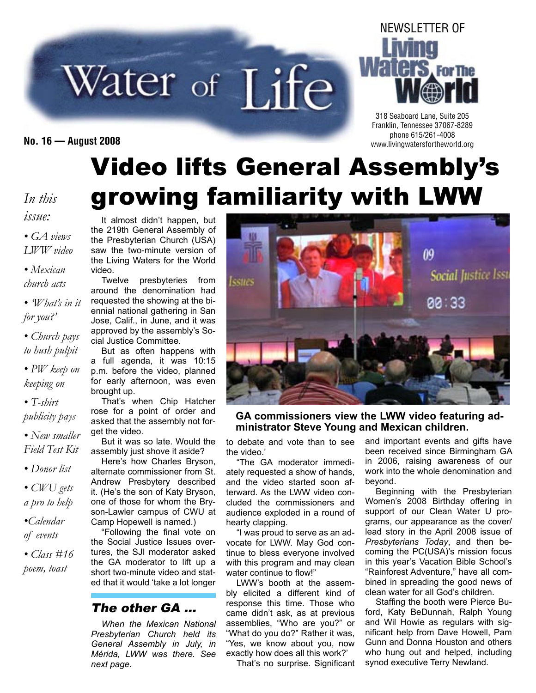# Water of Life



318 Seaboard Lane, Suite 205 Franklin, Tennessee 37067-8289 phone 615/261-4008 **No. 16 — August 2008** www.livingwatersfortheworld.org

# Video lifts General Assembly's growing familiarity with LWW

#### *In this issue: • GA views*

*LWW video*

*• Mexican church acts*

*• 'What's in it for you?'*

*• Church pays to hush pulpit*

*• PW keep on keeping on*

*• T-shirt publicity pays*

*• New smaller*

*Field Test Kit • Donor list*

*• CWU gets a pro to help*

*•Calendar of events*

*• Class #16 poem, toast*

It almost didn't happen, but the 219th General Assembly of the Presbyterian Church (USA) saw the two-minute version of the Living Waters for the World video.

Twelve presbyteries from around the denomination had requested the showing at the biennial national gathering in San Jose, Calif., in June, and it was approved by the assembly's Social Justice Committee.

But as often happens with a full agenda, it was 10:15 p.m. before the video, planned for early afternoon, was even brought up.

That's when Chip Hatcher rose for a point of order and asked that the assembly not forget the video.

But it was so late. Would the assembly just shove it aside?

Here's how Charles Bryson, alternate commissioner from St. Andrew Presbytery described it. (He's the son of Katy Bryson, one of those for whom the Bryson-Lawler campus of CWU at Camp Hopewell is named.)

"Following the final vote on the Social Justice Issues overtures, the SJI moderator asked the GA moderator to lift up a short two-minute video and stated that it would 'take a lot longer

#### The other GA …

*When the Mexican National Presbyterian Church held its General Assembly in July, in Mérida, LWW was there. See next page.*



**GA commissioners view the LWW video featuring administrator Steve Young and Mexican children.**

to debate and vote than to see the video.'

"The GA moderator immediately requested a show of hands, and the video started soon afterward. As the LWW video concluded the commissioners and audience exploded in a round of hearty clapping.

"I was proud to serve as an advocate for LWW. May God continue to bless everyone involved with this program and may clean water continue to flow!"

LWW's booth at the assembly elicited a different kind of response this time. Those who came didn't ask, as at previous assemblies, "Who are you?" or "What do you do?" Rather it was, "Yes, we know about you, now exactly how does all this work?'

That's no surprise. Significant

and important events and gifts have been received since Birmingham GA in 2006, raising awareness of our work into the whole denomination and beyond.

Beginning with the Presbyterian Women's 2008 Birthday offering in support of our Clean Water U programs, our appearance as the cover/ lead story in the April 2008 issue of *Presbyterians Today*, and then becoming the PC(USA)'s mission focus in this year's Vacation Bible School's "Rainforest Adventure," have all combined in spreading the good news of clean water for all God's children.

Staffing the booth were Pierce Buford, Katy BeDunnah, Ralph Young and Wil Howie as regulars with significant help from Dave Howell, Pam Gunn and Donna Houston and others who hung out and helped, including synod executive Terry Newland.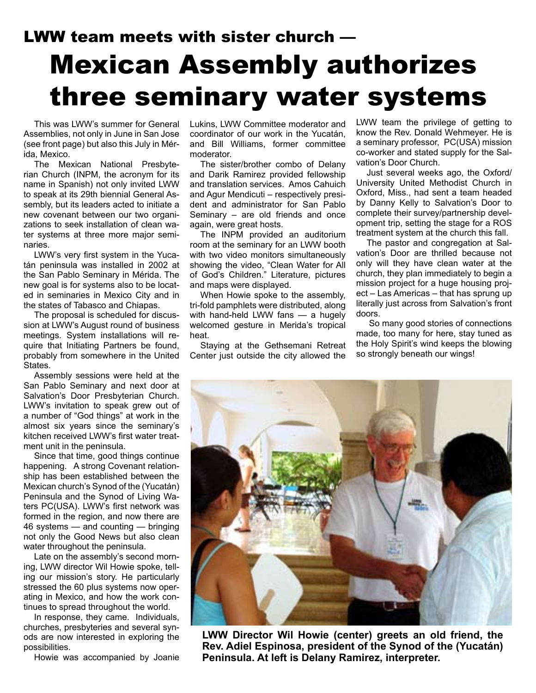### LWW team meets with sister church — Mexican Assembly authorizes three seminary water systems

This was LWW's summer for General Assemblies, not only in June in San Jose (see front page) but also this July in Mérida, Mexico.

The Mexican National Presbyterian Church (INPM, the acronym for its name in Spanish) not only invited LWW to speak at its 29th biennial General Assembly, but its leaders acted to initiate a new covenant between our two organizations to seek installation of clean water systems at three more major seminaries.

LWW's very first system in the Yucatán peninsula was installed in 2002 at the San Pablo Seminary in Mérida. The new goal is for systems also to be located in seminaries in Mexico City and in the states of Tabasco and Chiapas.

The proposal is scheduled for discussion at LWW's August round of business meetings. System installations will require that Initiating Partners be found, probably from somewhere in the United States.

Assembly sessions were held at the San Pablo Seminary and next door at Salvation's Door Presbyterian Church. LWW's invitation to speak grew out of a number of "God things" at work in the almost six years since the seminary's kitchen received LWW's first water treatment unit in the peninsula.

Since that time, good things continue happening. A strong Covenant relationship has been established between the Mexican church's Synod of the (Yucatán) Peninsula and the Synod of Living Waters PC(USA). LWW's first network was formed in the region, and now there are 46 systems — and counting — bringing not only the Good News but also clean water throughout the peninsula.

Late on the assembly's second morning, LWW director Wil Howie spoke, telling our mission's story. He particularly stressed the 60 plus systems now operating in Mexico, and how the work continues to spread throughout the world.

In response, they came. Individuals, churches, presbyteries and several synods are now interested in exploring the possibilities.

Howie was accompanied by Joanie

Lukins, LWW Committee moderator and coordinator of our work in the Yucatán, and Bill Williams, former committee moderator.

The sister/brother combo of Delany and Darik Ramirez provided fellowship and translation services. Amos Cahuich and Agur Mendicuti – respectively president and administrator for San Pablo Seminary – are old friends and once again, were great hosts.

The INPM provided an auditorium room at the seminary for an LWW booth with two video monitors simultaneously showing the video, "Clean Water for All of God's Children." Literature, pictures and maps were displayed.

When Howie spoke to the assembly, tri-fold pamphlets were distributed, along with hand-held LWW fans — a hugely welcomed gesture in Merida's tropical heat.

Staying at the Gethsemani Retreat Center just outside the city allowed the

LWW team the privilege of getting to know the Rev. Donald Wehmeyer. He is a seminary professor, PC(USA) mission co-worker and stated supply for the Salvation's Door Church.

Just several weeks ago, the Oxford/ University United Methodist Church in Oxford, Miss., had sent a team headed by Danny Kelly to Salvation's Door to complete their survey/partnership development trip, setting the stage for a ROS treatment system at the church this fall.

The pastor and congregation at Salvation's Door are thrilled because not only will they have clean water at the church, they plan immediately to begin a mission project for a huge housing project – Las Americas – that has sprung up literally just across from Salvation's front doors.

 So many good stories of connections made, too many for here, stay tuned as the Holy Spirit's wind keeps the blowing so strongly beneath our wings!



**LWW Director Wil Howie (center) greets an old friend, the Rev. Adiel Espinosa, president of the Synod of the (Yucatán) Peninsula. At left is Delany Ramirez, interpreter.**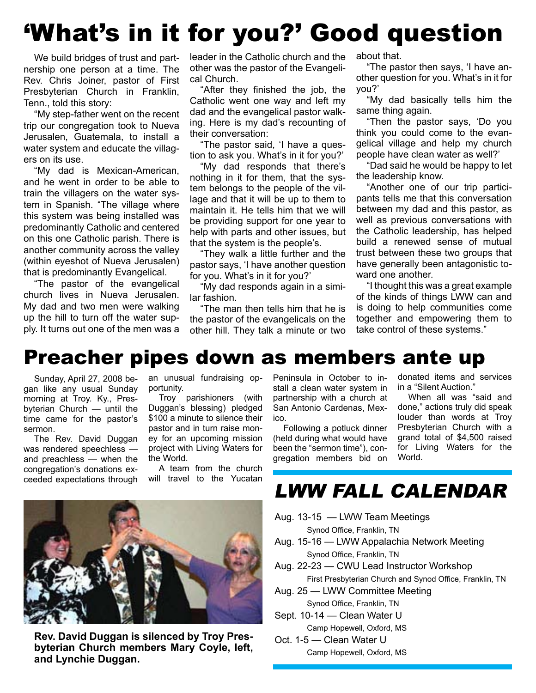# 'What's in it for you?' Good question

We build bridges of trust and partnership one person at a time. The Rev. Chris Joiner, pastor of First Presbyterian Church in Franklin, Tenn., told this story:

"My step-father went on the recent trip our congregation took to Nueva Jerusalen, Guatemala, to install a water system and educate the villagers on its use.

"My dad is Mexican-American, and he went in order to be able to train the villagers on the water system in Spanish. "The village where this system was being installed was predominantly Catholic and centered on this one Catholic parish. There is another community across the valley (within eyeshot of Nueva Jerusalen) that is predominantly Evangelical.

"The pastor of the evangelical church lives in Nueva Jerusalen. My dad and two men were walking up the hill to turn off the water supply. It turns out one of the men was a leader in the Catholic church and the other was the pastor of the Evangelical Church.

"After they finished the job, the Catholic went one way and left my dad and the evangelical pastor walking. Here is my dad's recounting of their conversation:

"The pastor said, 'I have a question to ask you. What's in it for you?'

"My dad responds that there's nothing in it for them, that the system belongs to the people of the village and that it will be up to them to maintain it. He tells him that we will be providing support for one year to help with parts and other issues, but that the system is the people's.

"They walk a little further and the pastor says, 'I have another question for you. What's in it for you?'

"My dad responds again in a similar fashion.

"The man then tells him that he is the pastor of the evangelicals on the other hill. They talk a minute or two about that.

"The pastor then says, 'I have another question for you. What's in it for you?'

"My dad basically tells him the same thing again.

"Then the pastor says, 'Do you think you could come to the evangelical village and help my church people have clean water as well?'

"Dad said he would be happy to let the leadership know.

"Another one of our trip participants tells me that this conversation between my dad and this pastor, as well as previous conversations with the Catholic leadership, has helped build a renewed sense of mutual trust between these two groups that have generally been antagonistic toward one another.

"I thought this was a great example of the kinds of things LWW can and is doing to help communities come together and empowering them to take control of these systems."

### Preacher pipes down as members ante up

Sunday, April 27, 2008 began like any usual Sunday morning at Troy. Ky., Presbyterian Church — until the time came for the pastor's sermon.

The Rev. David Duggan was rendered speechless and preachless — when the congregation's donations exceeded expectations through

an unusual fundraising opportunity.

Troy parishioners (with Duggan's blessing) pledged \$100 a minute to silence their pastor and in turn raise money for an upcoming mission project with Living Waters for the World.

A team from the church will travel to the Yucatan



**Rev. David Duggan is silenced by Troy Presbyterian Church members Mary Coyle, left, and Lynchie Duggan.**

Peninsula in October to install a clean water system in partnership with a church at San Antonio Cardenas, Mexico.

Following a potluck dinner (held during what would have been the "sermon time"), congregation members bid on donated items and services in a "Silent Auction."

When all was "said and done," actions truly did speak louder than words at Troy Presbyterian Church with a grand total of \$4,500 raised for Living Waters for the World.

### LWW FALL CALENDAR

Aug. 13-15 — LWW Team Meetings

Synod Office, Franklin, TN

- Aug. 15-16 LWW Appalachia Network Meeting Synod Office, Franklin, TN
- Aug. 22-23 CWU Lead Instructor Workshop First Presbyterian Church and Synod Office, Franklin, TN
- Aug. 25 LWW Committee Meeting
- Synod Office, Franklin, TN Sept. 10-14 — Clean Water U
	- Camp Hopewell, Oxford, MS
- Oct. 1-5 Clean Water U Camp Hopewell, Oxford, MS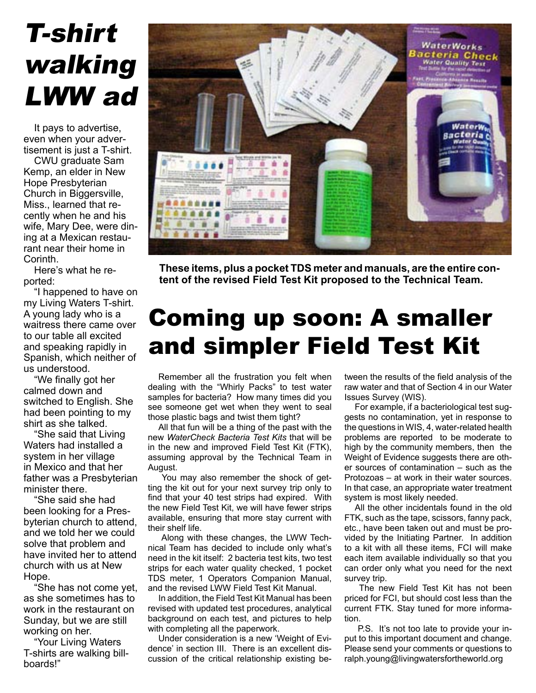# T-shirt walking LWW ad

It pays to advertise, even when your advertisement is just a T-shirt.

CWU graduate Sam Kemp, an elder in New Hope Presbyterian Church in Biggersville, Miss., learned that recently when he and his wife, Mary Dee, were dining at a Mexican restaurant near their home in Corinth.

Here's what he reported:

"I happened to have on my Living Waters T-shirt. A young lady who is a waitress there came over to our table all excited and speaking rapidly in Spanish, which neither of us understood.

"We finally got her calmed down and switched to English. She had been pointing to my shirt as she talked.

"She said that Living Waters had installed a system in her village in Mexico and that her father was a Presbyterian minister there.

"She said she had been looking for a Presbyterian church to attend, and we told her we could solve that problem and have invited her to attend church with us at New Hope.

"She has not come yet, as she sometimes has to work in the restaurant on Sunday, but we are still working on her.

"Your Living Waters T-shirts are walking billboards!"



**These items, plus a pocket TDS meter and manuals, are the entire content of the revised Field Test Kit proposed to the Technical Team.**

### Coming up soon: A smaller and simpler Field Test Kit

Remember all the frustration you felt when dealing with the "Whirly Packs" to test water samples for bacteria? How many times did you see someone get wet when they went to seal those plastic bags and twist them tight?

All that fun will be a thing of the past with the new *WaterCheck Bacteria Test Kits* that will be in the new and improved Field Test Kit (FTK), assuming approval by the Technical Team in August.

You may also remember the shock of getting the kit out for your next survey trip only to find that your 40 test strips had expired. With the new Field Test Kit, we will have fewer strips available, ensuring that more stay current with their shelf life.

Along with these changes, the LWW Technical Team has decided to include only what's need in the kit itself: 2 bacteria test kits, two test strips for each water quality checked, 1 pocket TDS meter, 1 Operators Companion Manual, and the revised LWW Field Test Kit Manual.

In addition, the Field Test Kit Manual has been revised with updated test procedures, analytical background on each test, and pictures to help with completing all the paperwork.

Under consideration is a new 'Weight of Evidence' in section III. There is an excellent discussion of the critical relationship existing between the results of the field analysis of the raw water and that of Section 4 in our Water Issues Survey (WIS).

For example, if a bacteriological test suggests no contamination, yet in response to the questions in WIS, 4, water-related health problems are reported to be moderate to high by the community members, then the Weight of Evidence suggests there are other sources of contamination – such as the Protozoas – at work in their water sources. In that case, an appropriate water treatment system is most likely needed.

All the other incidentals found in the old FTK, such as the tape, scissors, fanny pack, etc., have been taken out and must be provided by the Initiating Partner. In addition to a kit with all these items, FCI will make each item available individually so that you can order only what you need for the next survey trip.

The new Field Test Kit has not been priced for FCI, but should cost less than the current FTK. Stay tuned for more information.

P.S. It's not too late to provide your input to this important document and change. Please send your comments or questions to ralph.young@livingwatersfortheworld.org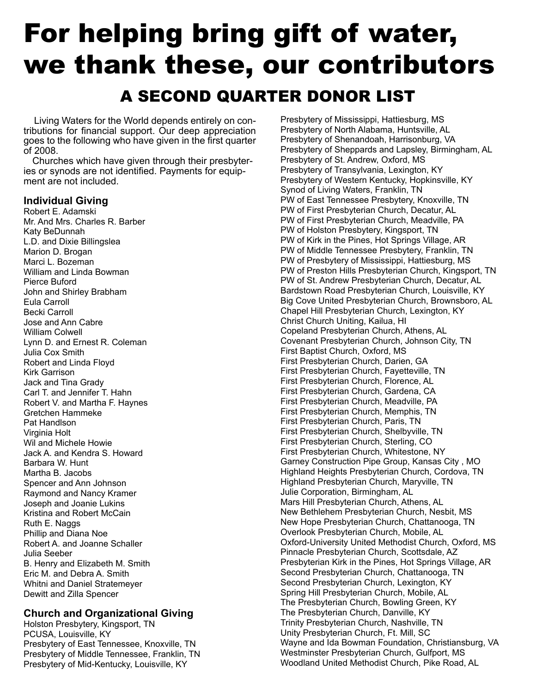### For helping bring gift of water, we thank these, our contributors A SECOND QUARTER DONOR LIST

Living Waters for the World depends entirely on contributions for financial support. Our deep appreciation goes to the following who have given in the first quarter of 2008.

Churches which have given through their presbyteries or synods are not identified. Payments for equipment are not included.

#### **Individual Giving**

Robert E. Adamski Mr. And Mrs. Charles R. Barber Katy BeDunnah L.D. and Dixie Billingslea Marion D. Brogan Marci L. Bozeman William and Linda Bowman Pierce Buford John and Shirley Brabham Eula Carroll Becki Carroll Jose and Ann Cabre William Colwell Lynn D. and Ernest R. Coleman Julia Cox Smith Robert and Linda Floyd Kirk Garrison Jack and Tina Grady Carl T. and Jennifer T. Hahn Robert V. and Martha F. Haynes Gretchen Hammeke Pat Handlson Virginia Holt Wil and Michele Howie Jack A. and Kendra S. Howard Barbara W. Hunt Martha B. Jacobs Spencer and Ann Johnson Raymond and Nancy Kramer Joseph and Joanie Lukins Kristina and Robert McCain Ruth E. Naggs Phillip and Diana Noe Robert A. and Joanne Schaller Julia Seeber B. Henry and Elizabeth M. Smith Eric M. and Debra A. Smith Whitni and Daniel Stratemeyer Dewitt and Zilla Spencer

#### **Church and Organizational Giving**

Holston Presbytery, Kingsport, TN PCUSA, Louisville, KY Presbytery of East Tennessee, Knoxville, TN Presbytery of Middle Tennessee, Franklin, TN Presbytery of Mid-Kentucky, Louisville, KY

Presbytery of Mississippi, Hattiesburg, MS Presbytery of North Alabama, Huntsville, AL Presbytery of Shenandoah, Harrisonburg, VA Presbytery of Sheppards and Lapsley, Birmingham, AL Presbytery of St. Andrew, Oxford, MS Presbytery of Transylvania, Lexington, KY Presbytery of Western Kentucky, Hopkinsville, KY Synod of Living Waters, Franklin, TN PW of East Tennessee Presbytery, Knoxville, TN PW of First Presbyterian Church, Decatur, AL PW of First Presbyterian Church, Meadville, PA PW of Holston Presbytery, Kingsport, TN PW of Kirk in the Pines, Hot Springs Village, AR PW of Middle Tennessee Presbytery, Franklin, TN PW of Presbytery of Mississippi, Hattiesburg, MS PW of Preston Hills Presbyterian Church, Kingsport, TN PW of St. Andrew Presbyterian Church, Decatur, AL Bardstown Road Presbyterian Church, Louisville, KY Big Cove United Presbyterian Church, Brownsboro, AL Chapel Hill Presbyterian Church, Lexington, KY Christ Church Uniting, Kailua, HI Copeland Presbyterian Church, Athens, AL Covenant Presbyterian Church, Johnson City, TN First Baptist Church, Oxford, MS First Presbyterian Church, Darien, GA First Presbyterian Church, Fayetteville, TN First Presbyterian Church, Florence, AL First Presbyterian Church, Gardena, CA First Presbyterian Church, Meadville, PA First Presbyterian Church, Memphis, TN First Presbyterian Church, Paris, TN First Presbyterian Church, Shelbyville, TN First Presbyterian Church, Sterling, CO First Presbyterian Church, Whitestone, NY Garney Construction Pipe Group, Kansas City , MO Highland Heights Presbyterian Church, Cordova, TN Highland Presbyterian Church, Maryville, TN Julie Corporation, Birmingham, AL Mars Hill Presbyterian Church, Athens, AL New Bethlehem Presbyterian Church, Nesbit, MS New Hope Presbyterian Church, Chattanooga, TN Overlook Presbyterian Church, Mobile, AL Oxford-University United Methodist Church, Oxford, MS Pinnacle Presbyterian Church, Scottsdale, AZ Presbyterian Kirk in the Pines, Hot Springs Village, AR Second Presbyterian Church, Chattanooga, TN Second Presbyterian Church, Lexington, KY Spring Hill Presbyterian Church, Mobile, AL The Presbyterian Church, Bowling Green, KY The Presbyterian Church, Danville, KY Trinity Presbyterian Church, Nashville, TN Unity Presbyterian Church, Ft. Mill, SC Wayne and Ida Bowman Foundation, Christiansburg, VA Westminster Presbyterian Church, Gulfport, MS Woodland United Methodist Church, Pike Road, AL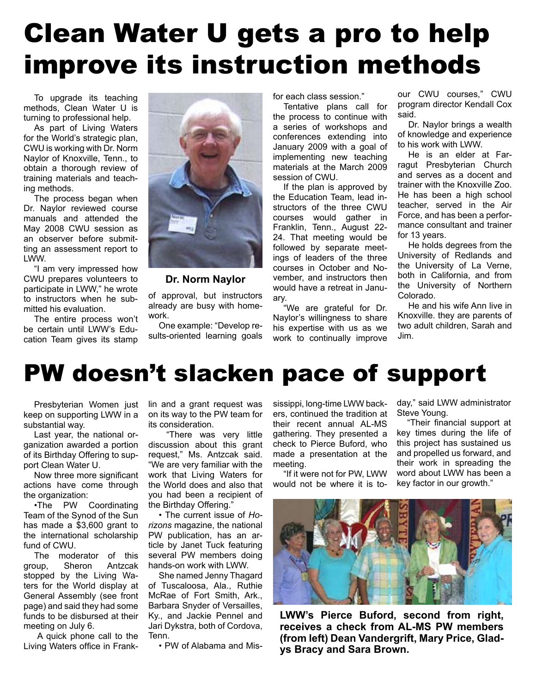# Clean Water U gets a pro to help improve its instruction methods

To upgrade its teaching methods, Clean Water U is turning to professional help.

As part of Living Waters for the World's strategic plan, CWU is working with Dr. Norm Naylor of Knoxville, Tenn., to obtain a thorough review of training materials and teaching methods.

The process began when Dr. Naylor reviewed course manuals and attended the May 2008 CWU session as an observer before submitting an assessment report to LWW.

"I am very impressed how CWU prepares volunteers to participate in LWW," he wrote to instructors when he submitted his evaluation.

The entire process won't be certain until LWW's Education Team gives its stamp



#### **Dr. Norm Naylor**

of approval, but instructors already are busy with homework.

One example: "Develop results-oriented learning goals

for each class session."

Tentative plans call for the process to continue with a series of workshops and conferences extending into January 2009 with a goal of implementing new teaching materials at the March 2009 session of CWU.

If the plan is approved by the Education Team, lead instructors of the three CWU courses would gather in Franklin, Tenn., August 22- 24. That meeting would be followed by separate meetings of leaders of the three courses in October and November, and instructors then would have a retreat in January.

"We are grateful for Dr. Naylor's willingness to share his expertise with us as we work to continually improve

our CWU courses," CWU program director Kendall Cox said.

Dr. Naylor brings a wealth of knowledge and experience to his work with LWW.

He is an elder at Farragut Presbyterian Church and serves as a docent and trainer with the Knoxville Zoo. He has been a high school teacher, served in the Air Force, and has been a performance consultant and trainer for 13 years.

He holds degrees from the University of Redlands and the University of La Verne, both in California, and from the University of Northern Colorado.

He and his wife Ann live in Knoxville. they are parents of two adult children, Sarah and Jim.

### PW doesn't slacken pace of support

Presbyterian Women just keep on supporting LWW in a substantial way.

Last year, the national organization awarded a portion of its Birthday Offering to support Clean Water U.

Now three more significant actions have come through the organization:

•The PW Coordinating Team of the Synod of the Sun has made a \$3,600 grant to the international scholarship fund of CWU.

The moderator of this group, Sheron Antzcak stopped by the Living Waters for the World display at General Assembly (see front page) and said they had some funds to be disbursed at their meeting on July 6.

A quick phone call to the Living Waters office in Frank-

lin and a grant request was on its way to the PW team for its consideration.

"There was very little discussion about this grant request," Ms. Antzcak said. "We are very familiar with the work that Living Waters for the World does and also that you had been a recipient of the Birthday Offering."

• The current issue of *Horizons* magazine, the national PW publication, has an article by Janet Tuck featuring several PW members doing hands-on work with LWW.

She named Jenny Thagard of Tuscaloosa, Ala., Ruthie McRae of Fort Smith, Ark., Barbara Snyder of Versailles, Ky., and Jackie Pennel and Jari Dykstra, both of Cordova, Tenn.

• PW of Alabama and Mis-

sissippi, long-time LWW backers, continued the tradition at their recent annual AL-MS gathering. They presented a check to Pierce Buford, who made a presentation at the meeting.

"If it were not for PW, LWW would not be where it is today," said LWW administrator Steve Young.

"Their financial support at key times during the life of this project has sustained us and propelled us forward, and their work in spreading the word about LWW has been a key factor in our growth."



**LWW's Pierce Buford, second from right, receives a check from AL-MS PW members (from left) Dean Vandergrift, Mary Price, Gladys Bracy and Sara Brown.**